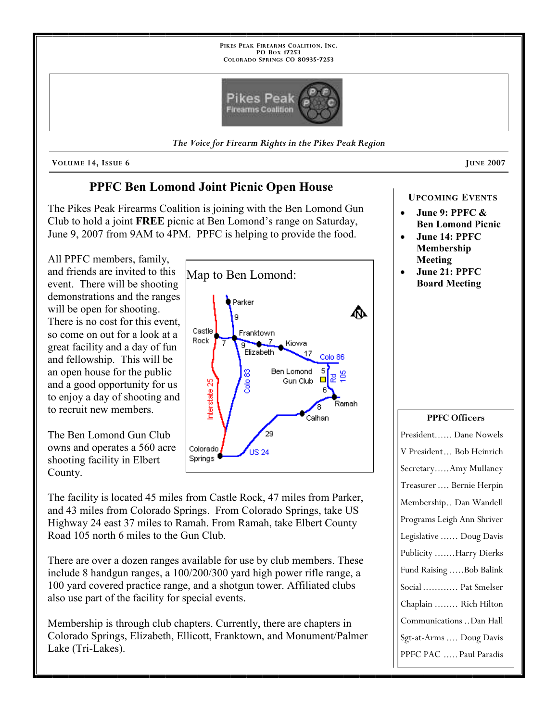

VOLUME 14, ISSUE 6 JUNE 2007

# PPFC Ben Lomond Joint Picnic Open House

The Pikes Peak Firearms Coalition is joining with the Ben Lomond Gun Club to hold a joint FREE picnic at Ben Lomond's range on Saturday, June 9, 2007 from 9AM to 4PM. PPFC is helping to provide the food.

All PPFC members, family, and friends are invited to this event. There will be shooting demonstrations and the ranges will be open for shooting. There is no cost for this event, so come on out for a look at a great facility and a day of fun and fellowship. This will be an open house for the public and a good opportunity for us to enjoy a day of shooting and to recruit new members.

The Ben Lomond Gun Club owns and operates a 560 acre shooting facility in Elbert County.

Map to Ben Lomond:Parker ⋒ g Castle Franktown Rock . 7 Kiowa द्व Elizabeth 17 Colo 86 **Ben Lomond** 5 မ ₽ Gun Club Interstate 25 Ramah Calhan 29 Colorado **US 24** Springs <sup>€</sup>

The facility is located 45 miles from Castle Rock, 47 miles from Parker, and 43 miles from Colorado Springs. From Colorado Springs, take US Highway 24 east 37 miles to Ramah. From Ramah, take Elbert County Road 105 north 6 miles to the Gun Club.

There are over a dozen ranges available for use by club members. These include 8 handgun ranges, a 100/200/300 yard high power rifle range, a 100 yard covered practice range, and a shotgun tower. Affiliated clubs also use part of the facility for special events.

Membership is through club chapters. Currently, there are chapters in Colorado Springs, Elizabeth, Ellicott, Franktown, and Monument/Palmer Lake (Tri-Lakes).

#### UPCOMING EVENTS

- June 9: PPFC & Ben Lomond Picnic
- June 14: PPFC Membership Meeting
- June 21: PPFC Board Meeting

#### PPFC Officers

President...... Dane Nowels V President ... Bob Heinrich Secretary ..... Amy Mullaney Treasurer .... Bernie Herpin Membership .. Dan Wandell Programs Leigh Ann Shriver Legislative ...... Doug Davis Publicity ....... Harry Dierks Fund Raising .....Bob Balink Social ............ Pat Smelser Chaplain ........ Rich Hilton Communications .. Dan Hall Sgt-at-Arms .... Doug Davis PPFC PAC ..... Paul Paradis